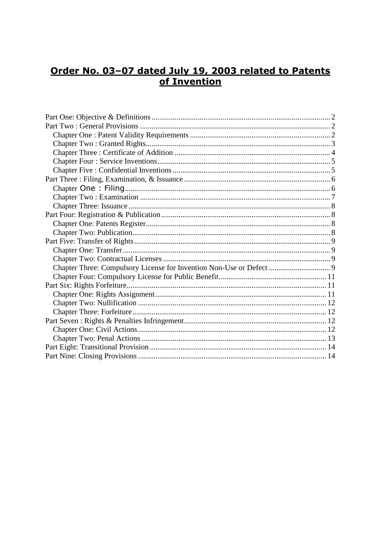# Order No. 03-07 dated July 19, 2003 related to Patents of Invention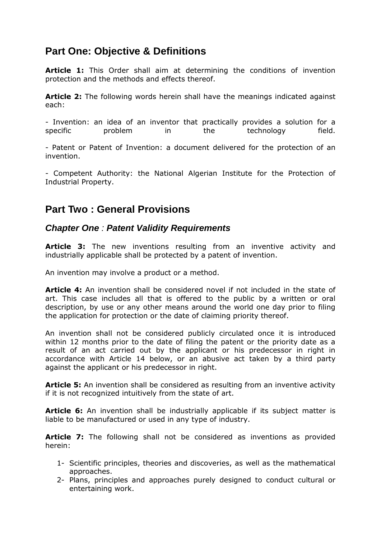# <span id="page-1-0"></span>**Part One: Objective & Definitions**

**Article 1:** This Order shall aim at determining the conditions of invention protection and the methods and effects thereof.

**Article 2:** The following words herein shall have the meanings indicated against each:

- Invention: an idea of an inventor that practically provides a solution for a specific problem in the technology field.

- Patent or Patent of Invention: a document delivered for the protection of an invention.

- Competent Authority: the National Algerian Institute for the Protection of Industrial Property.

# <span id="page-1-1"></span>**Part Two : General Provisions**

### <span id="page-1-2"></span>*Chapter One : Patent Validity Requirements*

**Article 3:** The new inventions resulting from an inventive activity and industrially applicable shall be protected by a patent of invention.

An invention may involve a product or a method.

**Article 4:** An invention shall be considered novel if not included in the state of art. This case includes all that is offered to the public by a written or oral description, by use or any other means around the world one day prior to filing the application for protection or the date of claiming priority thereof.

An invention shall not be considered publicly circulated once it is introduced within 12 months prior to the date of filing the patent or the priority date as a result of an act carried out by the applicant or his predecessor in right in accordance with Article 14 below, or an abusive act taken by a third party against the applicant or his predecessor in right.

**Article 5:** An invention shall be considered as resulting from an inventive activity if it is not recognized intuitively from the state of art.

**Article 6:** An invention shall be industrially applicable if its subject matter is liable to be manufactured or used in any type of industry.

**Article 7:** The following shall not be considered as inventions as provided herein:

- 1- Scientific principles, theories and discoveries, as well as the mathematical approaches.
- 2- Plans, principles and approaches purely designed to conduct cultural or entertaining work.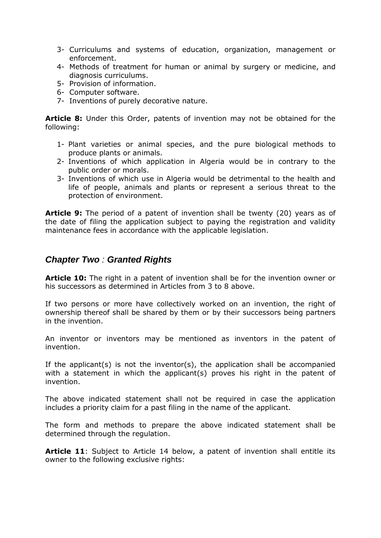- 3- Curriculums and systems of education, organization, management or enforcement.
- 4- Methods of treatment for human or animal by surgery or medicine, and diagnosis curriculums.
- 5- Provision of information.
- 6- Computer software.
- 7- Inventions of purely decorative nature.

**Article 8:** Under this Order, patents of invention may not be obtained for the following:

- 1- Plant varieties or animal species, and the pure biological methods to produce plants or animals.
- 2- Inventions of which application in Algeria would be in contrary to the public order or morals.
- 3- Inventions of which use in Algeria would be detrimental to the health and life of people, animals and plants or represent a serious threat to the protection of environment.

**Article 9:** The period of a patent of invention shall be twenty (20) years as of the date of filing the application subject to paying the registration and validity maintenance fees in accordance with the applicable legislation.

### <span id="page-2-0"></span>*Chapter Two : Granted Rights*

**Article 10:** The right in a patent of invention shall be for the invention owner or his successors as determined in Articles from 3 to 8 above.

If two persons or more have collectively worked on an invention, the right of ownership thereof shall be shared by them or by their successors being partners in the invention.

An inventor or inventors may be mentioned as inventors in the patent of invention.

If the applicant(s) is not the inventor(s), the application shall be accompanied with a statement in which the applicant(s) proves his right in the patent of invention.

The above indicated statement shall not be required in case the application includes a priority claim for a past filing in the name of the applicant.

The form and methods to prepare the above indicated statement shall be determined through the regulation.

**Article 11**: Subject to Article 14 below, a patent of invention shall entitle its owner to the following exclusive rights: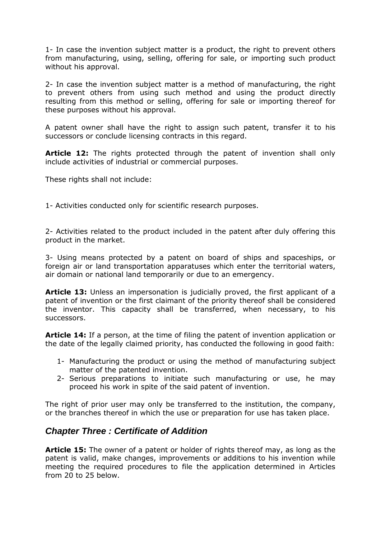1- In case the invention subject matter is a product, the right to prevent others from manufacturing, using, selling, offering for sale, or importing such product without his approval.

2- In case the invention subject matter is a method of manufacturing, the right to prevent others from using such method and using the product directly resulting from this method or selling, offering for sale or importing thereof for these purposes without his approval.

A patent owner shall have the right to assign such patent, transfer it to his successors or conclude licensing contracts in this regard.

**Article 12:** The rights protected through the patent of invention shall only include activities of industrial or commercial purposes.

These rights shall not include:

1- Activities conducted only for scientific research purposes.

2- Activities related to the product included in the patent after duly offering this product in the market.

3- Using means protected by a patent on board of ships and spaceships, or foreign air or land transportation apparatuses which enter the territorial waters, air domain or national land temporarily or due to an emergency.

**Article 13:** Unless an impersonation is judicially proved, the first applicant of a patent of invention or the first claimant of the priority thereof shall be considered the inventor. This capacity shall be transferred, when necessary, to his successors.

**Article 14:** If a person, at the time of filing the patent of invention application or the date of the legally claimed priority, has conducted the following in good faith:

- 1- Manufacturing the product or using the method of manufacturing subject matter of the patented invention.
- 2- Serious preparations to initiate such manufacturing or use, he may proceed his work in spite of the said patent of invention.

The right of prior user may only be transferred to the institution, the company, or the branches thereof in which the use or preparation for use has taken place.

### <span id="page-3-0"></span>*Chapter Three : Certificate of Addition*

**Article 15:** The owner of a patent or holder of rights thereof may, as long as the patent is valid, make changes, improvements or additions to his invention while meeting the required procedures to file the application determined in Articles from 20 to 25 below.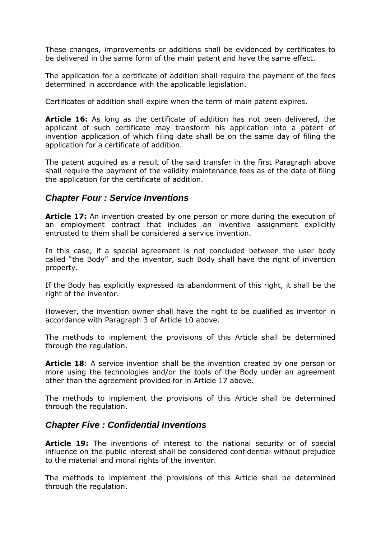These changes, improvements or additions shall be evidenced by certificates to be delivered in the same form of the main patent and have the same effect.

The application for a certificate of addition shall require the payment of the fees determined in accordance with the applicable legislation.

Certificates of addition shall expire when the term of main patent expires.

**Article 16:** As long as the certificate of addition has not been delivered, the applicant of such certificate may transform his application into a patent of invention application of which filing date shall be on the same day of filing the application for a certificate of addition.

The patent acquired as a result of the said transfer in the first Paragraph above shall require the payment of the validity maintenance fees as of the date of filing the application for the certificate of addition.

### <span id="page-4-0"></span>*Chapter Four : Service Inventions*

**Article 17:** An invention created by one person or more during the execution of an employment contract that includes an inventive assignment explicitly entrusted to them shall be considered a service invention.

In this case, if a special agreement is not concluded between the user body called "the Body" and the inventor, such Body shall have the right of invention property.

If the Body has explicitly expressed its abandonment of this right, it shall be the right of the inventor.

However, the invention owner shall have the right to be qualified as inventor in accordance with Paragraph 3 of Article 10 above.

The methods to implement the provisions of this Article shall be determined through the regulation.

**Article 18**: A service invention shall be the invention created by one person or more using the technologies and/or the tools of the Body under an agreement other than the agreement provided for in Article 17 above.

The methods to implement the provisions of this Article shall be determined through the regulation.

### <span id="page-4-1"></span>*Chapter Five : Confidential Inventions*

Article 19: The inventions of interest to the national security or of special influence on the public interest shall be considered confidential without prejudice to the material and moral rights of the inventor.

The methods to implement the provisions of this Article shall be determined through the regulation.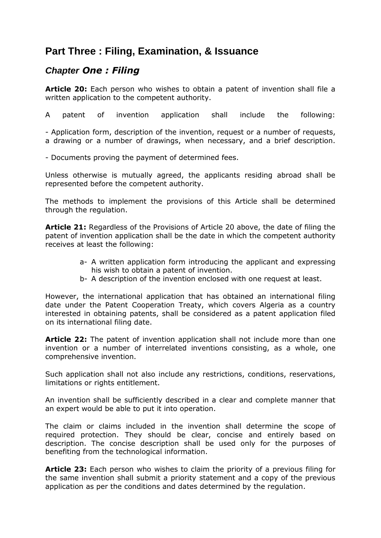# <span id="page-5-0"></span>**Part Three : Filing, Examination, & Issuance**

### <span id="page-5-1"></span>*Chapter One : Filing*

**Article 20:** Each person who wishes to obtain a patent of invention shall file a written application to the competent authority.

A patent of invention application shall include the following:

- Application form, description of the invention, request or a number of requests, a drawing or a number of drawings, when necessary, and a brief description.

- Documents proving the payment of determined fees.

Unless otherwise is mutually agreed, the applicants residing abroad shall be represented before the competent authority.

The methods to implement the provisions of this Article shall be determined through the regulation.

**Article 21:** Regardless of the Provisions of Article 20 above, the date of filing the patent of invention application shall be the date in which the competent authority receives at least the following:

- a- A written application form introducing the applicant and expressing his wish to obtain a patent of invention.
- b- A description of the invention enclosed with one request at least.

However, the international application that has obtained an international filing date under the Patent Cooperation Treaty, which covers Algeria as a country interested in obtaining patents, shall be considered as a patent application filed on its international filing date.

**Article 22:** The patent of invention application shall not include more than one invention or a number of interrelated inventions consisting, as a whole, one comprehensive invention.

Such application shall not also include any restrictions, conditions, reservations, limitations or rights entitlement.

An invention shall be sufficiently described in a clear and complete manner that an expert would be able to put it into operation.

The claim or claims included in the invention shall determine the scope of required protection. They should be clear, concise and entirely based on description. The concise description shall be used only for the purposes of benefiting from the technological information.

**Article 23:** Each person who wishes to claim the priority of a previous filing for the same invention shall submit a priority statement and a copy of the previous application as per the conditions and dates determined by the regulation.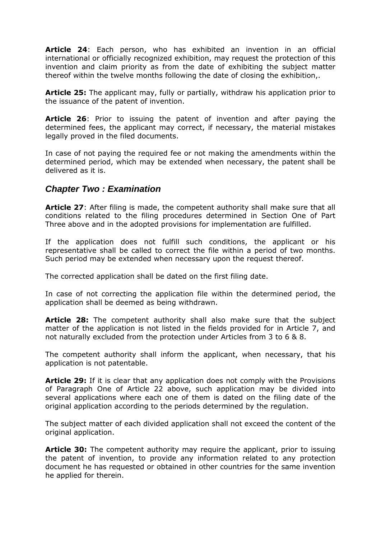**Article 24**: Each person, who has exhibited an invention in an official international or officially recognized exhibition, may request the protection of this invention and claim priority as from the date of exhibiting the subject matter thereof within the twelve months following the date of closing the exhibition,.

**Article 25:** The applicant may, fully or partially, withdraw his application prior to the issuance of the patent of invention.

**Article 26**: Prior to issuing the patent of invention and after paying the determined fees, the applicant may correct, if necessary, the material mistakes legally proved in the filed documents.

In case of not paying the required fee or not making the amendments within the determined period, which may be extended when necessary, the patent shall be delivered as it is.

### <span id="page-6-0"></span>*Chapter Two : Examination*

**Article 27**: After filing is made, the competent authority shall make sure that all conditions related to the filing procedures determined in Section One of Part Three above and in the adopted provisions for implementation are fulfilled.

If the application does not fulfill such conditions, the applicant or his representative shall be called to correct the file within a period of two months. Such period may be extended when necessary upon the request thereof.

The corrected application shall be dated on the first filing date.

In case of not correcting the application file within the determined period, the application shall be deemed as being withdrawn.

**Article 28:** The competent authority shall also make sure that the subject matter of the application is not listed in the fields provided for in Article 7, and not naturally excluded from the protection under Articles from 3 to 6 & 8.

The competent authority shall inform the applicant, when necessary, that his application is not patentable.

**Article 29:** If it is clear that any application does not comply with the Provisions of Paragraph One of Article 22 above, such application may be divided into several applications where each one of them is dated on the filing date of the original application according to the periods determined by the regulation.

The subject matter of each divided application shall not exceed the content of the original application.

**Article 30:** The competent authority may require the applicant, prior to issuing the patent of invention, to provide any information related to any protection document he has requested or obtained in other countries for the same invention he applied for therein.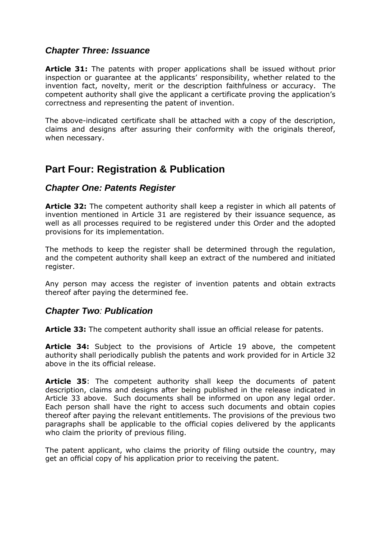### <span id="page-7-0"></span>*Chapter Three: Issuance*

**Article 31:** The patents with proper applications shall be issued without prior inspection or guarantee at the applicants' responsibility, whether related to the invention fact, novelty, merit or the description faithfulness or accuracy. The competent authority shall give the applicant a certificate proving the application's correctness and representing the patent of invention.

The above-indicated certificate shall be attached with a copy of the description, claims and designs after assuring their conformity with the originals thereof, when necessary.

# <span id="page-7-1"></span>**Part Four: Registration & Publication**

### <span id="page-7-2"></span>*Chapter One: Patents Register*

**Article 32:** The competent authority shall keep a register in which all patents of invention mentioned in Article 31 are registered by their issuance sequence, as well as all processes required to be registered under this Order and the adopted provisions for its implementation.

The methods to keep the register shall be determined through the regulation, and the competent authority shall keep an extract of the numbered and initiated register.

Any person may access the register of invention patents and obtain extracts thereof after paying the determined fee.

### <span id="page-7-3"></span>*Chapter Two: Publication*

**Article 33:** The competent authority shall issue an official release for patents.

**Article 34:** Subject to the provisions of Article 19 above, the competent authority shall periodically publish the patents and work provided for in Article 32 above in the its official release.

**Article 35**: The competent authority shall keep the documents of patent description, claims and designs after being published in the release indicated in Article 33 above. Such documents shall be informed on upon any legal order. Each person shall have the right to access such documents and obtain copies thereof after paying the relevant entitlements. The provisions of the previous two paragraphs shall be applicable to the official copies delivered by the applicants who claim the priority of previous filing.

The patent applicant, who claims the priority of filing outside the country, may get an official copy of his application prior to receiving the patent.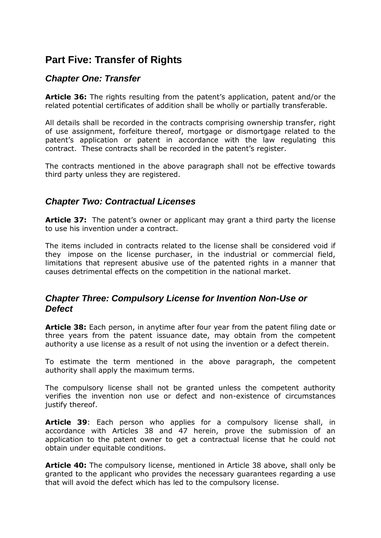# <span id="page-8-0"></span>**Part Five: Transfer of Rights**

### <span id="page-8-1"></span>*Chapter One: Transfer*

**Article 36:** The rights resulting from the patent's application, patent and/or the related potential certificates of addition shall be wholly or partially transferable.

All details shall be recorded in the contracts comprising ownership transfer, right of use assignment, forfeiture thereof, mortgage or dismortgage related to the patent's application or patent in accordance with the law regulating this contract. These contracts shall be recorded in the patent's register.

The contracts mentioned in the above paragraph shall not be effective towards third party unless they are registered.

### <span id="page-8-2"></span>*Chapter Two: Contractual Licenses*

**Article 37:** The patent's owner or applicant may grant a third party the license to use his invention under a contract.

The items included in contracts related to the license shall be considered void if they impose on the license purchaser, in the industrial or commercial field, limitations that represent abusive use of the patented rights in a manner that causes detrimental effects on the competition in the national market.

### <span id="page-8-3"></span>*Chapter Three: Compulsory License for Invention Non-Use or Defect*

**Article 38:** Each person, in anytime after four year from the patent filing date or three years from the patent issuance date, may obtain from the competent authority a use license as a result of not using the invention or a defect therein.

To estimate the term mentioned in the above paragraph, the competent authority shall apply the maximum terms.

The compulsory license shall not be granted unless the competent authority verifies the invention non use or defect and non-existence of circumstances justify thereof.

**Article 39**: Each person who applies for a compulsory license shall, in accordance with Articles 38 and 47 herein, prove the submission of an application to the patent owner to get a contractual license that he could not obtain under equitable conditions.

**Article 40:** The compulsory license, mentioned in Article 38 above, shall only be granted to the applicant who provides the necessary guarantees regarding a use that will avoid the defect which has led to the compulsory license.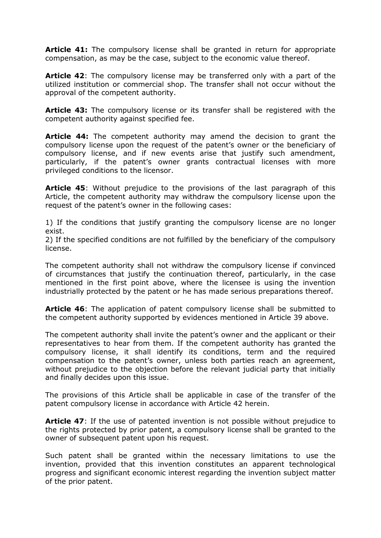**Article 41:** The compulsory license shall be granted in return for appropriate compensation, as may be the case, subject to the economic value thereof.

**Article 42**: The compulsory license may be transferred only with a part of the utilized institution or commercial shop. The transfer shall not occur without the approval of the competent authority.

**Article 43:** The compulsory license or its transfer shall be registered with the competent authority against specified fee.

**Article 44:** The competent authority may amend the decision to grant the compulsory license upon the request of the patent's owner or the beneficiary of compulsory license, and if new events arise that justify such amendment, particularly, if the patent's owner grants contractual licenses with more privileged conditions to the licensor.

**Article 45**: Without prejudice to the provisions of the last paragraph of this Article, the competent authority may withdraw the compulsory license upon the request of the patent's owner in the following cases:

1) If the conditions that justify granting the compulsory license are no longer exist.

2) If the specified conditions are not fulfilled by the beneficiary of the compulsory license.

The competent authority shall not withdraw the compulsory license if convinced of circumstances that justify the continuation thereof, particularly, in the case mentioned in the first point above, where the licensee is using the invention industrially protected by the patent or he has made serious preparations thereof.

**Article 46**: The application of patent compulsory license shall be submitted to the competent authority supported by evidences mentioned in Article 39 above.

The competent authority shall invite the patent's owner and the applicant or their representatives to hear from them. If the competent authority has granted the compulsory license, it shall identify its conditions, term and the required compensation to the patent's owner, unless both parties reach an agreement, without prejudice to the objection before the relevant judicial party that initially and finally decides upon this issue.

The provisions of this Article shall be applicable in case of the transfer of the patent compulsory license in accordance with Article 42 herein.

**Article 47**: If the use of patented invention is not possible without prejudice to the rights protected by prior patent, a compulsory license shall be granted to the owner of subsequent patent upon his request.

Such patent shall be granted within the necessary limitations to use the invention, provided that this invention constitutes an apparent technological progress and significant economic interest regarding the invention subject matter of the prior patent.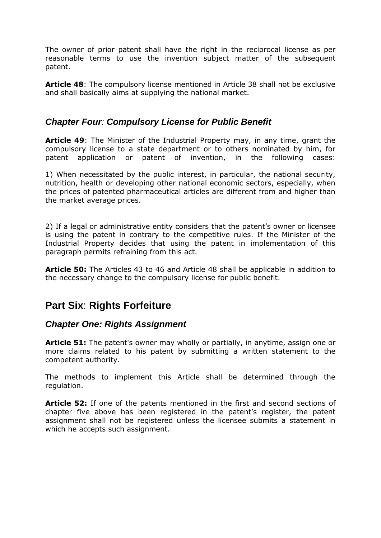The owner of prior patent shall have the right in the reciprocal license as per reasonable terms to use the invention subject matter of the subsequent patent.

**Article 48**: The compulsory license mentioned in Article 38 shall not be exclusive and shall basically aims at supplying the national market.

### <span id="page-10-0"></span>*Chapter Four: Compulsory License for Public Benefit*

**Article 49**: The Minister of the Industrial Property may, in any time, grant the compulsory license to a state department or to others nominated by him, for patent application or patent of invention, in the following cases:

1) When necessitated by the public interest, in particular, the national security, nutrition, health or developing other national economic sectors, especially, when the prices of patented pharmaceutical articles are different from and higher than the market average prices.

2) If a legal or administrative entity considers that the patent's owner or licensee is using the patent in contrary to the competitive rules. If the Minister of the Industrial Property decides that using the patent in implementation of this paragraph permits refraining from this act.

**Article 50:** The Articles 43 to 46 and Article 48 shall be applicable in addition to the necessary change to the compulsory license for public benefit.

# <span id="page-10-1"></span>**Part Six**: **Rights Forfeiture**

### <span id="page-10-2"></span>*Chapter One: Rights Assignment*

**Article 51:** The patent's owner may wholly or partially, in anytime, assign one or more claims related to his patent by submitting a written statement to the competent authority.

The methods to implement this Article shall be determined through the regulation.

**Article 52:** If one of the patents mentioned in the first and second sections of chapter five above has been registered in the patent's register, the patent assignment shall not be registered unless the licensee submits a statement in which he accepts such assignment.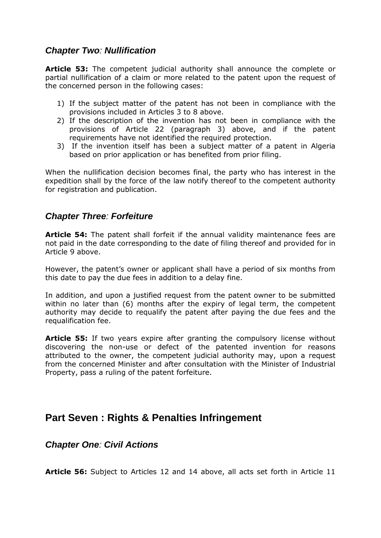### <span id="page-11-0"></span>*Chapter Two: Nullification*

**Article 53:** The competent judicial authority shall announce the complete or partial nullification of a claim or more related to the patent upon the request of the concerned person in the following cases:

- 1) If the subject matter of the patent has not been in compliance with the provisions included in Articles 3 to 8 above.
- 2) If the description of the invention has not been in compliance with the provisions of Article 22 (paragraph 3) above, and if the patent requirements have not identified the required protection.
- 3) If the invention itself has been a subject matter of a patent in Algeria based on prior application or has benefited from prior filing.

When the nullification decision becomes final, the party who has interest in the expedition shall by the force of the law notify thereof to the competent authority for registration and publication.

### <span id="page-11-1"></span>*Chapter Three: Forfeiture*

**Article 54:** The patent shall forfeit if the annual validity maintenance fees are not paid in the date corresponding to the date of filing thereof and provided for in Article 9 above.

However, the patent's owner or applicant shall have a period of six months from this date to pay the due fees in addition to a delay fine.

In addition, and upon a justified request from the patent owner to be submitted within no later than (6) months after the expiry of legal term, the competent authority may decide to requalify the patent after paying the due fees and the requalification fee.

**Article 55:** If two years expire after granting the compulsory license without discovering the non-use or defect of the patented invention for reasons attributed to the owner, the competent judicial authority may, upon a request from the concerned Minister and after consultation with the Minister of Industrial Property, pass a ruling of the patent forfeiture.

## <span id="page-11-2"></span>**Part Seven : Rights & Penalties Infringement**

### <span id="page-11-3"></span>*Chapter One: Civil Actions*

**Article 56:** Subject to Articles 12 and 14 above, all acts set forth in Article 11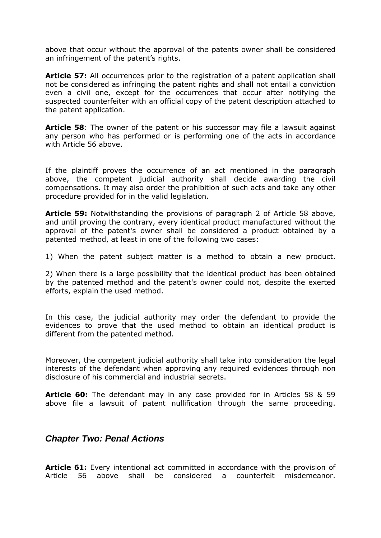above that occur without the approval of the patents owner shall be considered an infringement of the patent's rights.

**Article 57:** All occurrences prior to the registration of a patent application shall not be considered as infringing the patent rights and shall not entail a conviction even a civil one, except for the occurrences that occur after notifying the suspected counterfeiter with an official copy of the patent description attached to the patent application.

**Article 58**: The owner of the patent or his successor may file a lawsuit against any person who has performed or is performing one of the acts in accordance with Article 56 above.

If the plaintiff proves the occurrence of an act mentioned in the paragraph above, the competent judicial authority shall decide awarding the civil compensations. It may also order the prohibition of such acts and take any other procedure provided for in the valid legislation.

**Article 59:** Notwithstanding the provisions of paragraph 2 of Article 58 above, and until proving the contrary, every identical product manufactured without the approval of the patent's owner shall be considered a product obtained by a patented method, at least in one of the following two cases:

1) When the patent subject matter is a method to obtain a new product.

2) When there is a large possibility that the identical product has been obtained by the patented method and the patent's owner could not, despite the exerted efforts, explain the used method.

In this case, the judicial authority may order the defendant to provide the evidences to prove that the used method to obtain an identical product is different from the patented method.

Moreover, the competent judicial authority shall take into consideration the legal interests of the defendant when approving any required evidences through non disclosure of his commercial and industrial secrets.

**Article 60:** The defendant may in any case provided for in Articles 58 & 59 above file a lawsuit of patent nullification through the same proceeding.

### <span id="page-12-0"></span>*Chapter Two: Penal Actions*

**Article 61:** Every intentional act committed in accordance with the provision of Article 56 above shall be considered a counterfeit misdemeanor.